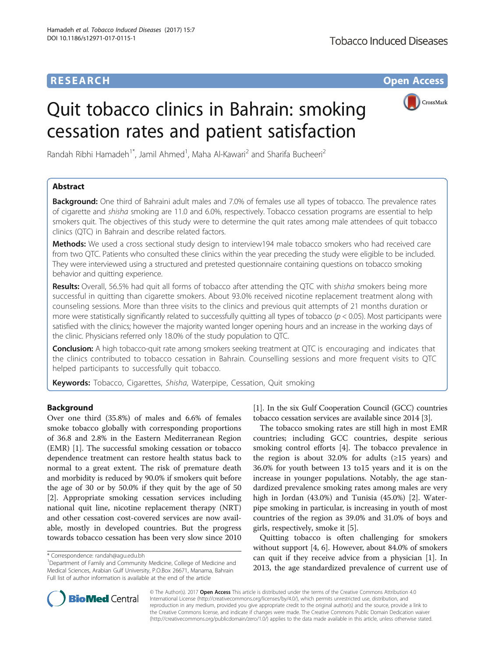# **RESEARCH CHE Open Access**

# Quit tobacco clinics in Bahrain: smoking cessation rates and patient satisfaction



Randah Ribhi Hamadeh<sup>1\*</sup>, Jamil Ahmed<sup>1</sup>, Maha Al-Kawari<sup>2</sup> and Sharifa Bucheeri<sup>2</sup>

# Abstract

**Background:** One third of Bahraini adult males and 7.0% of females use all types of tobacco. The prevalence rates of cigarette and shisha smoking are 11.0 and 6.0%, respectively. Tobacco cessation programs are essential to help smokers quit. The objectives of this study were to determine the quit rates among male attendees of quit tobacco clinics (QTC) in Bahrain and describe related factors.

Methods: We used a cross sectional study design to interview194 male tobacco smokers who had received care from two QTC. Patients who consulted these clinics within the year preceding the study were eligible to be included. They were interviewed using a structured and pretested questionnaire containing questions on tobacco smoking behavior and quitting experience.

Results: Overall, 56.5% had quit all forms of tobacco after attending the QTC with shisha smokers being more successful in quitting than cigarette smokers. About 93.0% received nicotine replacement treatment along with counseling sessions. More than three visits to the clinics and previous quit attempts of 21 months duration or more were statistically significantly related to successfully quitting all types of tobacco ( $p < 0.05$ ). Most participants were satisfied with the clinics; however the majority wanted longer opening hours and an increase in the working days of the clinic. Physicians referred only 18.0% of the study population to QTC.

Conclusion: A high tobacco-quit rate among smokers seeking treatment at QTC is encouraging and indicates that the clinics contributed to tobacco cessation in Bahrain. Counselling sessions and more frequent visits to QTC helped participants to successfully quit tobacco.

**Keywords:** Tobacco, Cigarettes, Shisha, Waterpipe, Cessation, Quit smoking

# Background

Over one third (35.8%) of males and 6.6% of females smoke tobacco globally with corresponding proportions of 36.8 and 2.8% in the Eastern Mediterranean Region (EMR) [[1](#page-6-0)]. The successful smoking cessation or tobacco dependence treatment can restore health status back to normal to a great extent. The risk of premature death and morbidity is reduced by 90.0% if smokers quit before the age of 30 or by 50.0% if they quit by the age of 50 [[2\]](#page-6-0). Appropriate smoking cessation services including national quit line, nicotine replacement therapy (NRT) and other cessation cost-covered services are now available, mostly in developed countries. But the progress towards tobacco cessation has been very slow since 2010

[[1\]](#page-6-0). In the six Gulf Cooperation Council (GCC) countries tobacco cessation services are available since 2014 [\[3](#page-6-0)].

The tobacco smoking rates are still high in most EMR countries; including GCC countries, despite serious smoking control efforts [\[4](#page-6-0)]. The tobacco prevalence in the region is about 32.0% for adults  $(\geq 15$  years) and 36.0% for youth between 13 to15 years and it is on the increase in younger populations. Notably, the age standardized prevalence smoking rates among males are very high in Jordan (43.0%) and Tunisia (45.0%) [\[2](#page-6-0)]. Waterpipe smoking in particular, is increasing in youth of most countries of the region as 39.0% and 31.0% of boys and girls, respectively, smoke it [\[5](#page-6-0)].

Quitting tobacco is often challenging for smokers without support [[4, 6\]](#page-6-0). However, about 84.0% of smokers can quit if they receive advice from a physician [\[1](#page-6-0)]. In 2013, the age standardized prevalence of current use of



© The Author(s). 2017 **Open Access** This article is distributed under the terms of the Creative Commons Attribution 4.0 International License [\(http://creativecommons.org/licenses/by/4.0/](http://creativecommons.org/licenses/by/4.0/)), which permits unrestricted use, distribution, and reproduction in any medium, provided you give appropriate credit to the original author(s) and the source, provide a link to the Creative Commons license, and indicate if changes were made. The Creative Commons Public Domain Dedication waiver [\(http://creativecommons.org/publicdomain/zero/1.0/](http://creativecommons.org/publicdomain/zero/1.0/)) applies to the data made available in this article, unless otherwise stated.

<sup>\*</sup> Correspondence: [randah@agu.edu.bh](mailto:randah@agu.edu.bh) <sup>1</sup>

<sup>&</sup>lt;sup>1</sup>Department of Family and Community Medicine, College of Medicine and Medical Sciences, Arabian Gulf University, P.O.Box 26671, Manama, Bahrain Full list of author information is available at the end of the article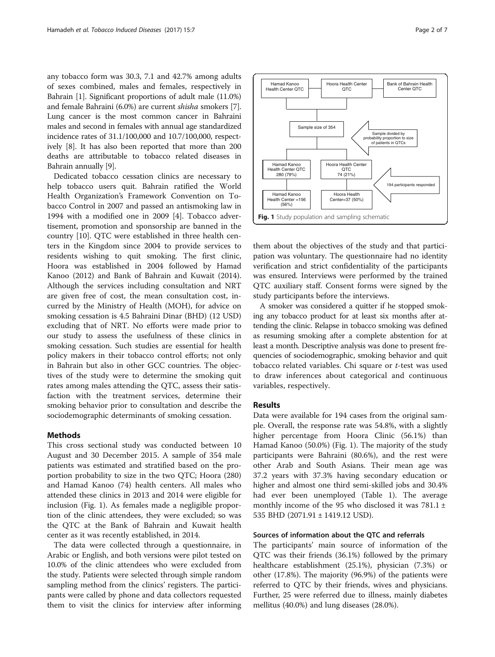any tobacco form was 30.3, 7.1 and 42.7% among adults of sexes combined, males and females, respectively in Bahrain [\[1](#page-6-0)]. Significant proportions of adult male (11.0%) and female Bahraini (6.0%) are current shisha smokers [[7](#page-6-0)]. Lung cancer is the most common cancer in Bahraini males and second in females with annual age standardized incidence rates of 31.1/100,000 and 10.7/100,000, respectively [\[8](#page-6-0)]. It has also been reported that more than 200 deaths are attributable to tobacco related diseases in Bahrain annually [[9\]](#page-6-0).

Dedicated tobacco cessation clinics are necessary to help tobacco users quit. Bahrain ratified the World Health Organization's Framework Convention on Tobacco Control in 2007 and passed an antismoking law in 1994 with a modified one in 2009 [[4\]](#page-6-0). Tobacco advertisement, promotion and sponsorship are banned in the country [[10\]](#page-6-0). QTC were established in three health centers in the Kingdom since 2004 to provide services to residents wishing to quit smoking. The first clinic, Hoora was established in 2004 followed by Hamad Kanoo (2012) and Bank of Bahrain and Kuwait (2014). Although the services including consultation and NRT are given free of cost, the mean consultation cost, incurred by the Ministry of Health (MOH), for advice on smoking cessation is 4.5 Bahraini Dinar (BHD) (12 USD) excluding that of NRT. No efforts were made prior to our study to assess the usefulness of these clinics in smoking cessation. Such studies are essential for health policy makers in their tobacco control efforts; not only in Bahrain but also in other GCC countries. The objectives of the study were to determine the smoking quit rates among males attending the QTC, assess their satisfaction with the treatment services, determine their smoking behavior prior to consultation and describe the sociodemographic determinants of smoking cessation.

## Methods

This cross sectional study was conducted between 10 August and 30 December 2015. A sample of 354 male patients was estimated and stratified based on the proportion probability to size in the two QTC; Hoora (280) and Hamad Kanoo (74) health centers. All males who attended these clinics in 2013 and 2014 were eligible for inclusion (Fig. 1). As females made a negligible proportion of the clinic attendees, they were excluded; so was the QTC at the Bank of Bahrain and Kuwait health center as it was recently established, in 2014.

The data were collected through a questionnaire, in Arabic or English, and both versions were pilot tested on 10.0% of the clinic attendees who were excluded from the study. Patients were selected through simple random sampling method from the clinics' registers. The participants were called by phone and data collectors requested them to visit the clinics for interview after informing

them about the objectives of the study and that participation was voluntary. The questionnaire had no identity verification and strict confidentiality of the participants was ensured. Interviews were performed by the trained QTC auxiliary staff. Consent forms were signed by the study participants before the interviews.

A smoker was considered a quitter if he stopped smoking any tobacco product for at least six months after attending the clinic. Relapse in tobacco smoking was defined as resuming smoking after a complete abstention for at least a month. Descriptive analysis was done to present frequencies of sociodemographic, smoking behavior and quit tobacco related variables. Chi square or t-test was used to draw inferences about categorical and continuous variables, respectively.

#### Results

Data were available for 194 cases from the original sample. Overall, the response rate was 54.8%, with a slightly higher percentage from Hoora Clinic (56.1%) than Hamad Kanoo (50.0%) (Fig. 1). The majority of the study participants were Bahraini (80.6%), and the rest were other Arab and South Asians. Their mean age was 37.2 years with 37.3% having secondary education or higher and almost one third semi-skilled jobs and 30.4% had ever been unemployed (Table [1](#page-2-0)). The average monthly income of the 95 who disclosed it was  $781.1 \pm$ 535 BHD (2071.91 ± 1419.12 USD).

# Sources of information about the QTC and referrals

The participants' main source of information of the QTC was their friends (36.1%) followed by the primary healthcare establishment (25.1%), physician (7.3%) or other (17.8%). The majority (96.9%) of the patients were referred to QTC by their friends, wives and physicians. Further, 25 were referred due to illness, mainly diabetes mellitus (40.0%) and lung diseases (28.0%).

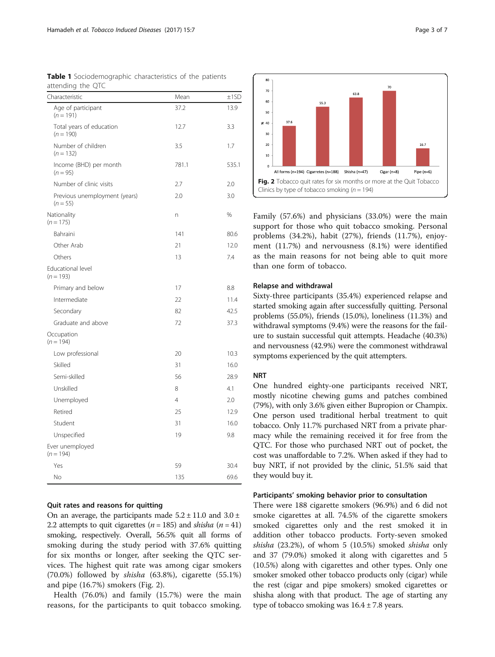| Characteristic                              | Mean           | ±1SD  |
|---------------------------------------------|----------------|-------|
| Age of participant<br>$(n = 191)$           | 37.2           | 13.9  |
| Total years of education<br>$(n = 190)$     | 12.7           | 3.3   |
| Number of children<br>$(n = 132)$           | 3.5            | 1.7   |
| Income (BHD) per month<br>$(n = 95)$        | 781.1          | 535.1 |
| Number of clinic visits                     | 2.7            | 2.0   |
| Previous unemployment (years)<br>$(n = 55)$ | 2.0            | 3.0   |
| Nationality<br>$(n = 175)$                  | n              | %     |
| Bahraini                                    | 141            | 80.6  |
| Other Arab                                  | 21             | 12.0  |
| Others                                      | 13             | 7.4   |
| Educational level<br>$(n = 193)$            |                |       |
| Primary and below                           | 17             | 8.8   |
| Intermediate                                | 22             | 11.4  |
| Secondary                                   | 82             | 42.5  |
| Graduate and above                          | 72             | 37.3  |
| Occupation<br>$(n = 194)$                   |                |       |
| Low professional                            | 20             | 10.3  |
| Skilled                                     | 31             | 16.0  |
| Semi-skilled                                | 56             | 28.9  |
| Unskilled                                   | 8              | 4.1   |
| Unemployed                                  | $\overline{4}$ | 2.0   |
| Retired                                     | 25             | 12.9  |
| Student                                     | 31             | 16.0  |
| Unspecified                                 | 19             | 9.8   |
| Ever unemployed<br>$(n = 194)$              |                |       |
| Yes                                         | 59             | 30.4  |
| No                                          | 135            | 69.6  |

<span id="page-2-0"></span>

| Table 1 Sociodemographic characteristics of the patients |  |  |
|----------------------------------------------------------|--|--|
| attending the QTC                                        |  |  |

# Quit rates and reasons for quitting

On an average, the participants made  $5.2 \pm 11.0$  and  $3.0 \pm$ 2.2 attempts to quit cigarettes ( $n = 185$ ) and *shisha* ( $n = 41$ ) smoking, respectively. Overall, 56.5% quit all forms of smoking during the study period with 37.6% quitting for six months or longer, after seeking the QTC services. The highest quit rate was among cigar smokers (70.0%) followed by shisha (63.8%), cigarette (55.1%) and pipe (16.7%) smokers (Fig. 2).

Health (76.0%) and family (15.7%) were the main reasons, for the participants to quit tobacco smoking.



Family (57.6%) and physicians (33.0%) were the main support for those who quit tobacco smoking. Personal problems (34.2%), habit (27%), friends (11.7%), enjoyment (11.7%) and nervousness (8.1%) were identified as the main reasons for not being able to quit more than one form of tobacco.

### Relapse and withdrawal

Sixty-three participants (35.4%) experienced relapse and started smoking again after successfully quitting. Personal problems (55.0%), friends (15.0%), loneliness (11.3%) and withdrawal symptoms (9.4%) were the reasons for the failure to sustain successful quit attempts. Headache (40.3%) and nervousness (42.9%) were the commonest withdrawal symptoms experienced by the quit attempters.

# **NRT**

One hundred eighty-one participants received NRT, mostly nicotine chewing gums and patches combined (79%), with only 3.6% given either Bupropion or Champix. One person used traditional herbal treatment to quit tobacco. Only 11.7% purchased NRT from a private pharmacy while the remaining received it for free from the QTC. For those who purchased NRT out of pocket, the cost was unaffordable to 7.2%. When asked if they had to buy NRT, if not provided by the clinic, 51.5% said that they would buy it.

## Participants' smoking behavior prior to consultation

There were 188 cigarette smokers (96.9%) and 6 did not smoke cigarettes at all. 74.5% of the cigarette smokers smoked cigarettes only and the rest smoked it in addition other tobacco products. Forty-seven smoked shisha (23.2%), of whom 5 (10.5%) smoked shisha only and 37 (79.0%) smoked it along with cigarettes and 5 (10.5%) along with cigarettes and other types. Only one smoker smoked other tobacco products only (cigar) while the rest (cigar and pipe smokers) smoked cigarettes or shisha along with that product. The age of starting any type of tobacco smoking was  $16.4 \pm 7.8$  years.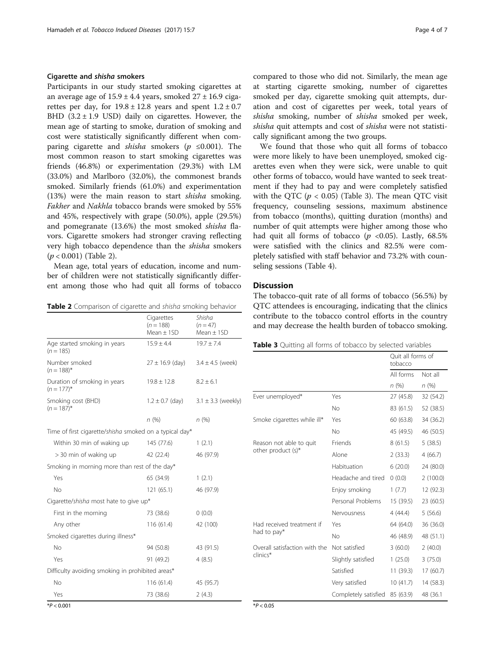# Cigarette and shisha smokers

Participants in our study started smoking cigarettes at an average age of  $15.9 \pm 4.4$  years, smoked  $27 \pm 16.9$  cigarettes per day, for  $19.8 \pm 12.8$  years and spent  $1.2 \pm 0.7$ BHD  $(3.2 \pm 1.9 \text{ USD})$  daily on cigarettes. However, the mean age of starting to smoke, duration of smoking and cost were statistically significantly different when comparing cigarette and *shisha* smokers ( $p \le 0.001$ ). The most common reason to start smoking cigarettes was friends (46.8%) or experimentation (29.3%) with LM (33.0%) and Marlboro (32.0%), the commonest brands smoked. Similarly friends (61.0%) and experimentation (13%) were the main reason to start shisha smoking. Fakher and Nakhla tobacco brands were smoked by 55% and 45%, respectively with grape (50.0%), apple (29.5%) and pomegranate (13.6%) the most smoked shisha flavors. Cigarette smokers had stronger craving reflecting very high tobacco dependence than the shisha smokers  $(p < 0.001)$  (Table 2).

Mean age, total years of education, income and number of children were not statistically significantly different among those who had quit all forms of tobacco

Table 2 Comparison of cigarette and shisha smoking behavior

|                                                         | Cigarettes<br>$(n = 188)$<br>Mean $\pm$ 1SD | Shisha<br>$(n = 47)$<br>Mean $\pm$ 1SD |  |  |
|---------------------------------------------------------|---------------------------------------------|----------------------------------------|--|--|
| Age started smoking in years<br>$(n = 185)$             | $15.9 \pm 4.4$                              | $19.7 \pm 7.4$                         |  |  |
| Number smoked<br>$(n = 188)^{*}$                        | $27 \pm 16.9$ (day)                         | $3.4 \pm 4.5$ (week)                   |  |  |
| Duration of smoking in years<br>$(n = 177)^{*}$         | $19.8 \pm 12.8$                             | $8.2 \pm 6.1$                          |  |  |
| Smoking cost (BHD)<br>$(n = 187)^{*}$                   | $1.2 \pm 0.7$ (day)                         | $3.1 \pm 3.3$ (weekly)                 |  |  |
|                                                         | n(%)                                        | n(%)                                   |  |  |
| Time of first cigarette/shisha smoked on a typical day* |                                             |                                        |  |  |
| Within 30 min of waking up                              | 145 (77.6)                                  | 1(2.1)                                 |  |  |
| > 30 min of waking up                                   | 42 (22.4)                                   | 46 (97.9)                              |  |  |
| Smoking in morning more than rest of the day*           |                                             |                                        |  |  |
| Yes                                                     | 65 (34.9)                                   | 1(2.1)                                 |  |  |
| <b>No</b>                                               | 121(65.1)                                   | 46 (97.9)                              |  |  |
| Cigarette/shisha most hate to give up*                  |                                             |                                        |  |  |
| First in the morning                                    | 73 (38.6)                                   | 0(0.0)                                 |  |  |
| Any other                                               | 116(61.4)                                   | 42 (100)                               |  |  |
| Smoked cigarettes during illness*                       |                                             |                                        |  |  |
| No                                                      | 94 (50.8)                                   | 43 (91.5)                              |  |  |
| Yes                                                     | 91 (49.2)                                   | 4(8.5)                                 |  |  |
| Difficulty avoiding smoking in prohibited areas*        |                                             |                                        |  |  |
| No.                                                     | 116(61.4)                                   | 45 (95.7)                              |  |  |
| Yes                                                     | 73 (38.6)                                   | 2(4.3)                                 |  |  |

compared to those who did not. Similarly, the mean age at starting cigarette smoking, number of cigarettes smoked per day, cigarette smoking quit attempts, duration and cost of cigarettes per week, total years of shisha smoking, number of shisha smoked per week, shisha quit attempts and cost of shisha were not statistically significant among the two groups.

We found that those who quit all forms of tobacco were more likely to have been unemployed, smoked cigarettes even when they were sick, were unable to quit other forms of tobacco, would have wanted to seek treatment if they had to pay and were completely satisfied with the QTC ( $p < 0.05$ ) (Table 3). The mean QTC visit frequency, counseling sessions, maximum abstinence from tobacco (months), quitting duration (months) and number of quit attempts were higher among those who had quit all forms of tobacco ( $p \le 0.05$ ). Lastly, 68.5% were satisfied with the clinics and 82.5% were completely satisfied with staff behavior and 73.2% with counseling sessions (Table [4\)](#page-4-0).

# **Discussion**

The tobacco-quit rate of all forms of tobacco (56.5%) by QTC attendees is encouraging, indicating that the clinics contribute to the tobacco control efforts in the country and may decrease the health burden of tobacco smoking.

|  | <b>Table 3</b> Quitting all forms of tobacco by selected variables |
|--|--------------------------------------------------------------------|
|--|--------------------------------------------------------------------|

|                               |                      | tobacco                                                                                                                                                                                                  |           |
|-------------------------------|----------------------|----------------------------------------------------------------------------------------------------------------------------------------------------------------------------------------------------------|-----------|
|                               |                      | All forms                                                                                                                                                                                                | Not all   |
|                               |                      | Ouit all forms of<br>n(%)<br>27 (45.8)<br>83 (61.5)<br>60 (63.8)<br>45 (49.5)<br>8(61.5)<br>2(33.3)<br>6(20.0)<br>(0.0)<br>1(7.7)<br>15(39.5)<br>4(44.4)<br>64 (64.0)<br>46 (48.9)<br>3(60.0)<br>1(25.0) | n(%)      |
| Ever unemployed*              | Yes                  |                                                                                                                                                                                                          | 32 (54.2) |
|                               | <b>No</b>            |                                                                                                                                                                                                          | 52 (38.5) |
| Smoke cigarettes while ill*   | Yes                  |                                                                                                                                                                                                          | 34 (36.2) |
|                               | <b>No</b>            |                                                                                                                                                                                                          | 46 (50.5) |
| Reason not able to quit       | Friends              |                                                                                                                                                                                                          | 5(38.5)   |
| other product (s)*            | Alone                |                                                                                                                                                                                                          | 4(66.7)   |
|                               | Habituation          |                                                                                                                                                                                                          | 24 (80.0) |
|                               | Headache and tired   |                                                                                                                                                                                                          | 2(100.0)  |
|                               | Enjoy smoking        |                                                                                                                                                                                                          | 12 (92.3) |
|                               | Personal Problems    |                                                                                                                                                                                                          | 23 (60.5) |
|                               | Nervousness          |                                                                                                                                                                                                          | 5(56.6)   |
| Had received treatment if     | Yes                  |                                                                                                                                                                                                          | 36 (36.0) |
| had to pay*                   | <b>No</b>            |                                                                                                                                                                                                          | 48 (51.1) |
| Overall satisfaction with the | Not satisfied        |                                                                                                                                                                                                          | 2(40.0)   |
| clinics*                      | Slightly satisfied   |                                                                                                                                                                                                          | 3(75.0)   |
|                               | Satisfied            | 11(39.3)                                                                                                                                                                                                 | 17 (60.7) |
|                               | Very satisfied       | 10(41.7)                                                                                                                                                                                                 | 14 (58.3) |
|                               | Completely satisfied | 85 (63.9)                                                                                                                                                                                                | 48 (36.1  |

 $*P < 0.05$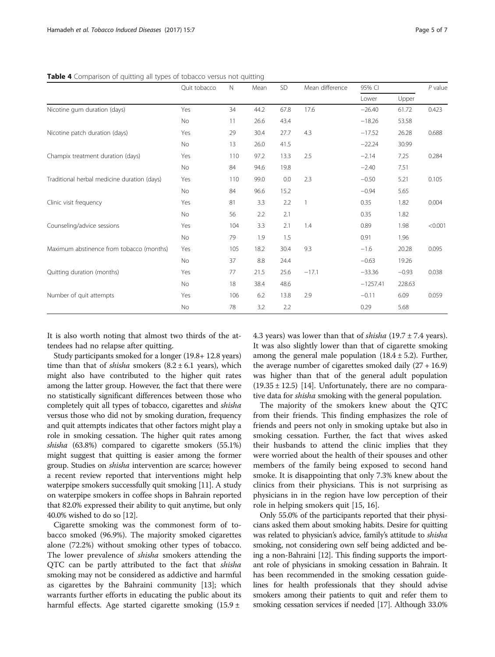<span id="page-4-0"></span>

| Table 4 Comparison of quitting all types of tobacco versus not quitting |  |  |  |
|-------------------------------------------------------------------------|--|--|--|
|                                                                         |  |  |  |

|                                             | Quit tobacco | $\mathbb N$ | Mean | SD   | Mean difference | 95% CI     |         | $P$ value |
|---------------------------------------------|--------------|-------------|------|------|-----------------|------------|---------|-----------|
|                                             |              |             |      |      |                 | Lower      | Upper   |           |
| Nicotine gum duration (days)                | Yes          | 34          | 44.2 | 67.8 | 17.6            | $-26.40$   | 61.72   | 0.423     |
|                                             | No           | 11          | 26.6 | 43.4 |                 | $-18.26$   | 53.58   |           |
| Nicotine patch duration (days)              | Yes          | 29          | 30.4 | 27.7 | 4.3             | $-17.52$   | 26.28   | 0.688     |
|                                             | No           | 13          | 26.0 | 41.5 |                 | $-22.24$   | 30.99   |           |
| Champix treatment duration (days)           | Yes          | 110         | 97.2 | 13.3 | 2.5             | $-2.14$    | 7.25    | 0.284     |
|                                             | <b>No</b>    | 84          | 94.6 | 19.8 |                 | $-2.40$    | 7.51    |           |
| Traditional herbal medicine duration (days) | Yes          | 110         | 99.0 | 0.0  | 2.3             | $-0.50$    | 5.21    | 0.105     |
|                                             | <b>No</b>    | 84          | 96.6 | 15.2 |                 | $-0.94$    | 5.65    |           |
| Clinic visit frequency                      | Yes          | 81          | 3.3  | 2.2  | 1               | 0.35       | 1.82    | 0.004     |
|                                             | No           | 56          | 2.2  | 2.1  |                 | 0.35       | 1.82    |           |
| Counseling/advice sessions                  | Yes          | 104         | 3.3  | 2.1  | 1.4             | 0.89       | 1.98    | < 0.001   |
|                                             | No           | 79          | 1.9  | 1.5  |                 | 0.91       | 1.96    |           |
| Maximum abstinence from tobacco (months)    | Yes          | 105         | 18.2 | 30.4 | 9.3             | $-1.6$     | 20.28   | 0.095     |
|                                             | No           | 37          | 8.8  | 24.4 |                 | $-0.63$    | 19.26   |           |
| Quitting duration (months)                  | Yes          | 77          | 21.5 | 25.6 | $-17.1$         | $-33.36$   | $-0.93$ | 0.038     |
|                                             | <b>No</b>    | 18          | 38.4 | 48.6 |                 | $-1257.41$ | 228.63  |           |
| Number of quit attempts                     | Yes          | 106         | 6.2  | 13.8 | 2.9             | $-0.11$    | 6.09    | 0.059     |
|                                             | No           | 78          | 3.2  | 2.2  |                 | 0.29       | 5.68    |           |

It is also worth noting that almost two thirds of the attendees had no relapse after quitting.

Study participants smoked for a longer (19.8+ 12.8 years) time than that of *shisha* smokers  $(8.2 \pm 6.1 \text{ years})$ , which might also have contributed to the higher quit rates among the latter group. However, the fact that there were no statistically significant differences between those who completely quit all types of tobacco, cigarettes and shisha versus those who did not by smoking duration, frequency and quit attempts indicates that other factors might play a role in smoking cessation. The higher quit rates among shisha (63.8%) compared to cigarette smokers (55.1%) might suggest that quitting is easier among the former group. Studies on shisha intervention are scarce; however a recent review reported that interventions might help waterpipe smokers successfully quit smoking [\[11\]](#page-6-0). A study on waterpipe smokers in coffee shops in Bahrain reported that 82.0% expressed their ability to quit anytime, but only 40.0% wished to do so [[12](#page-6-0)].

Cigarette smoking was the commonest form of tobacco smoked (96.9%). The majority smoked cigarettes alone (72.2%) without smoking other types of tobacco. The lower prevalence of shisha smokers attending the QTC can be partly attributed to the fact that shisha smoking may not be considered as addictive and harmful as cigarettes by the Bahraini community [\[13\]](#page-6-0); which warrants further efforts in educating the public about its harmful effects. Age started cigarette smoking (15.9 ±

4.3 years) was lower than that of *shisha* (19.7  $\pm$  7.4 years). It was also slightly lower than that of cigarette smoking among the general male population  $(18.4 \pm 5.2)$ . Further, the average number of cigarettes smoked daily  $(27 + 16.9)$ was higher than that of the general adult population  $(19.35 \pm 12.5)$  [\[14\]](#page-6-0). Unfortunately, there are no comparative data for *shisha* smoking with the general population.

The majority of the smokers knew about the QTC from their friends. This finding emphasizes the role of friends and peers not only in smoking uptake but also in smoking cessation. Further, the fact that wives asked their husbands to attend the clinic implies that they were worried about the health of their spouses and other members of the family being exposed to second hand smoke. It is disappointing that only 7.3% knew about the clinics from their physicians. This is not surprising as physicians in in the region have low perception of their role in helping smokers quit [[15](#page-6-0), [16](#page-6-0)].

Only 55.0% of the participants reported that their physicians asked them about smoking habits. Desire for quitting was related to physician's advice, family's attitude to shisha smoking, not considering own self being addicted and being a non-Bahraini [[12](#page-6-0)]. This finding supports the important role of physicians in smoking cessation in Bahrain. It has been recommended in the smoking cessation guidelines for health professionals that they should advise smokers among their patients to quit and refer them to smoking cessation services if needed [\[17\]](#page-6-0). Although 33.0%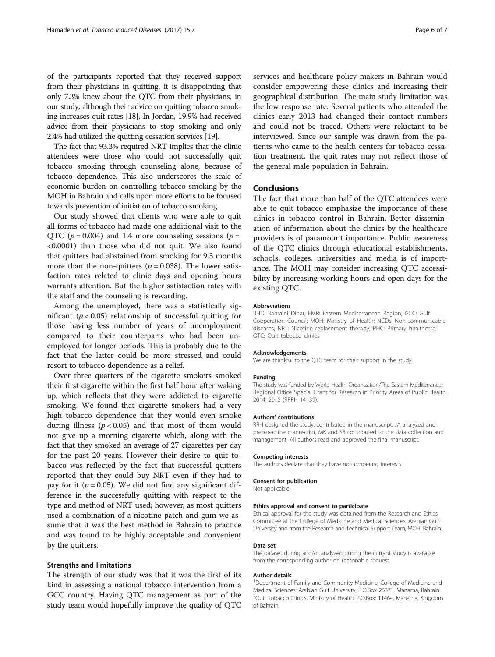of the participants reported that they received support from their physicians in quitting, it is disappointing that only 7.3% knew about the QTC from their physicians, in our study, although their advice on quitting tobacco smoking increases quit rates [\[18\]](#page-6-0). In Jordan, 19.9% had received advice from their physicians to stop smoking and only 2.4% had utilized the quitting cessation services [\[19\]](#page-6-0).

The fact that 93.3% required NRT implies that the clinic attendees were those who could not successfully quit tobacco smoking through counseling alone, because of tobacco dependence. This also underscores the scale of economic burden on controlling tobacco smoking by the MOH in Bahrain and calls upon more efforts to be focused towards prevention of initiation of tobacco smoking.

Our study showed that clients who were able to quit all forms of tobacco had made one additional visit to the QTC ( $p = 0.004$ ) and 1.4 more counseling sessions ( $p =$ <0.0001) than those who did not quit. We also found that quitters had abstained from smoking for 9.3 months more than the non-quitters ( $p = 0.038$ ). The lower satisfaction rates related to clinic days and opening hours warrants attention. But the higher satisfaction rates with the staff and the counseling is rewarding.

Among the unemployed, there was a statistically significant ( $p < 0.05$ ) relationship of successful quitting for those having less number of years of unemployment compared to their counterparts who had been unemployed for longer periods. This is probably due to the fact that the latter could be more stressed and could resort to tobacco dependence as a relief.

Over three quarters of the cigarette smokers smoked their first cigarette within the first half hour after waking up, which reflects that they were addicted to cigarette smoking. We found that cigarette smokers had a very high tobacco dependence that they would even smoke during illness  $(p < 0.05)$  and that most of them would not give up a morning cigarette which, along with the fact that they smoked an average of 27 cigarettes per day for the past 20 years. However their desire to quit tobacco was reflected by the fact that successful quitters reported that they could buy NRT even if they had to pay for it ( $p = 0.05$ ). We did not find any significant difference in the successfully quitting with respect to the type and method of NRT used; however, as most quitters used a combination of a nicotine patch and gum we assume that it was the best method in Bahrain to practice and was found to be highly acceptable and convenient by the quitters.

# Strengths and limitations

The strength of our study was that it was the first of its kind in assessing a national tobacco intervention from a GCC country. Having QTC management as part of the study team would hopefully improve the quality of QTC services and healthcare policy makers in Bahrain would consider empowering these clinics and increasing their geographical distribution. The main study limitation was the low response rate. Several patients who attended the clinics early 2013 had changed their contact numbers and could not be traced. Others were reluctant to be interviewed. Since our sample was drawn from the patients who came to the health centers for tobacco cessation treatment, the quit rates may not reflect those of the general male population in Bahrain.

## **Conclusions**

The fact that more than half of the QTC attendees were able to quit tobacco emphasize the importance of these clinics in tobacco control in Bahrain. Better dissemination of information about the clinics by the healthcare providers is of paramount importance. Public awareness of the QTC clinics through educational establishments, schools, colleges, universities and media is of importance. The MOH may consider increasing QTC accessibility by increasing working hours and open days for the existing QTC.

#### Abbreviations

BHD: Bahraini Dinar; EMR: Eastern Mediterranean Region; GCC: Gulf Cooperation Council; MOH: Ministry of Health; NCDs: Non-communicable diseases; NRT: Nicotine replacement therapy; PHC: Primary healthcare; QTC: Quit tobacco clinics

#### Acknowledgements

We are thankful to the QTC team for their support in the study.

#### Funding

The study was funded by World Health Organization/The Eastern Mediterranean Regional Office Special Grant for Research in Priority Areas of Public Health 2014–2015 (RPPH 14–39).

#### Authors' contributions

RRH designed the study, contributed in the manuscript, JA analyzed and prepared the manuscript, MK and SB contributed to the data collection and management. All authors read and approved the final manuscript.

#### Competing interests

The authors declare that they have no competing interests.

#### Consent for publication

Not applicable.

#### Ethics approval and consent to participate

Ethical approval for the study was obtained from the Research and Ethics Committee at the College of Medicine and Medical Sciences, Arabian Gulf University and from the Research and Technical Support Team, MOH, Bahrain.

#### Data set

The dataset during and/or analyzed during the current study is available from the corresponding author on reasonable request.

#### Author details

<sup>1</sup>Department of Family and Community Medicine, College of Medicine and Medical Sciences, Arabian Gulf University, P.O.Box 26671, Manama, Bahrain. <sup>2</sup>Quit Tobacco Clinics, Ministry of Health, P.O.Box: 11464, Manama, Kingdom of Bahrain.